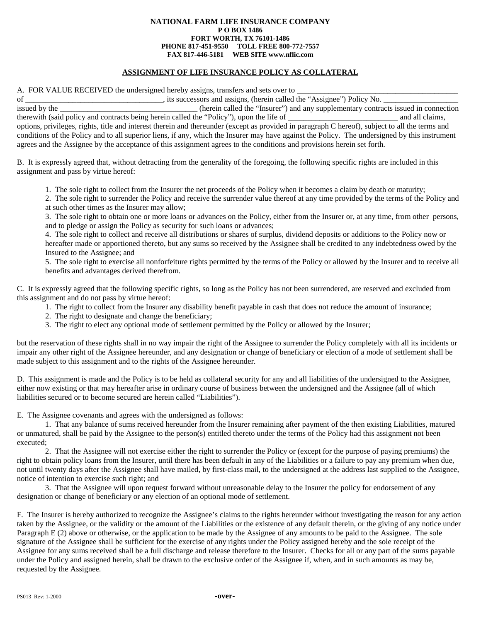## **NATIONAL FARM LIFE INSURANCE COMPANY P O BOX 1486 FORT WORTH, TX 76101-1486 PHONE 817-451-9550 TOLL FREE 800-772-7557 FAX 817-446-5181 WEB SITE www.nflic.com**

## **ASSIGNMENT OF LIFE INSURANCE POLICY AS COLLATERAL**

A. FOR VALUE RECEIVED the undersigned hereby assigns, transfers and sets over to

of \_\_\_\_\_\_\_\_\_\_\_\_\_\_\_\_\_\_\_\_, its successors and assigns, (herein called the "Assignee") Policy No.

issued by the \_\_\_\_\_\_\_\_\_\_\_\_\_\_\_\_\_\_\_\_\_\_\_\_\_\_\_\_\_\_\_\_(herein called the "Insurer") and any supplementary contracts issued in connection therewith (said policy and contracts being herein called the "Policy"), upon the life of and therewith (said policy and contracts being herein called the "Policy"), upon the life of options, privileges, rights, title and interest therein and thereunder (except as provided in paragraph C hereof), subject to all the terms and conditions of the Policy and to all superior liens, if any, which the Insurer may have against the Policy. The undersigned by this instrument agrees and the Assignee by the acceptance of this assignment agrees to the conditions and provisions herein set forth.

B. It is expressly agreed that, without detracting from the generality of the foregoing, the following specific rights are included in this assignment and pass by virtue hereof:

1. The sole right to collect from the Insurer the net proceeds of the Policy when it becomes a claim by death or maturity;

2. The sole right to surrender the Policy and receive the surrender value thereof at any time provided by the terms of the Policy and at such other times as the Insurer may allow;

3. The sole right to obtain one or more loans or advances on the Policy, either from the Insurer or, at any time, from other persons, and to pledge or assign the Policy as security for such loans or advances;

4. The sole right to collect and receive all distributions or shares of surplus, dividend deposits or additions to the Policy now or hereafter made or apportioned thereto, but any sums so received by the Assignee shall be credited to any indebtedness owed by the Insured to the Assignee; and

5. The sole right to exercise all nonforfeiture rights permitted by the terms of the Policy or allowed by the Insurer and to receive all benefits and advantages derived therefrom.

C. It is expressly agreed that the following specific rights, so long as the Policy has not been surrendered, are reserved and excluded from this assignment and do not pass by virtue hereof:

- 1. The right to collect from the Insurer any disability benefit payable in cash that does not reduce the amount of insurance;
- 2. The right to designate and change the beneficiary;
- 3. The right to elect any optional mode of settlement permitted by the Policy or allowed by the Insurer;

but the reservation of these rights shall in no way impair the right of the Assignee to surrender the Policy completely with all its incidents or impair any other right of the Assignee hereunder, and any designation or change of beneficiary or election of a mode of settlement shall be made subject to this assignment and to the rights of the Assignee hereunder.

D. This assignment is made and the Policy is to be held as collateral security for any and all liabilities of the undersigned to the Assignee, either now existing or that may hereafter arise in ordinary course of business between the undersigned and the Assignee (all of which liabilities secured or to become secured are herein called "Liabilities").

E. The Assignee covenants and agrees with the undersigned as follows:

1. That any balance of sums received hereunder from the Insurer remaining after payment of the then existing Liabilities, matured or unmatured, shall be paid by the Assignee to the person(s) entitled thereto under the terms of the Policy had this assignment not been executed;

2. That the Assignee will not exercise either the right to surrender the Policy or (except for the purpose of paying premiums) the right to obtain policy loans from the Insurer, until there has been default in any of the Liabilities or a failure to pay any premium when due, not until twenty days after the Assignee shall have mailed, by first-class mail, to the undersigned at the address last supplied to the Assignee, notice of intention to exercise such right; and

3. That the Assignee will upon request forward without unreasonable delay to the Insurer the policy for endorsement of any designation or change of beneficiary or any election of an optional mode of settlement.

F. The Insurer is hereby authorized to recognize the Assignee's claims to the rights hereunder without investigating the reason for any action taken by the Assignee, or the validity or the amount of the Liabilities or the existence of any default therein, or the giving of any notice under Paragraph E (2) above or otherwise, or the application to be made by the Assignee of any amounts to be paid to the Assignee. The sole signature of the Assignee shall be sufficient for the exercise of any rights under the Policy assigned hereby and the sole receipt of the Assignee for any sums received shall be a full discharge and release therefore to the Insurer. Checks for all or any part of the sums payable under the Policy and assigned herein, shall be drawn to the exclusive order of the Assignee if, when, and in such amounts as may be, requested by the Assignee.